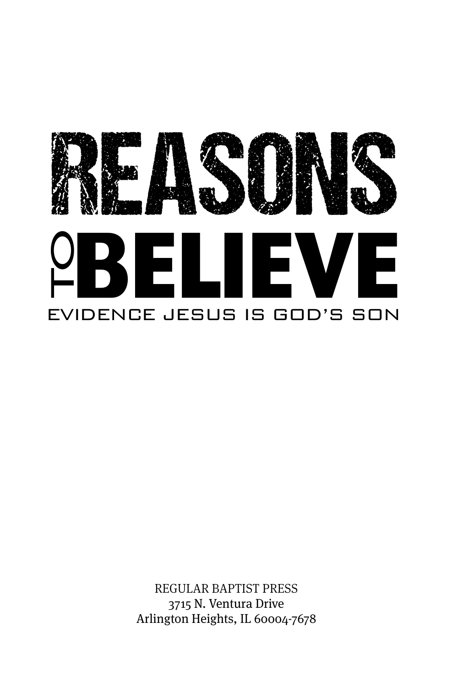

REGULAR BAPTIST PRESS 3715 N. Ventura Drive Arlington Heights, IL 60004-7678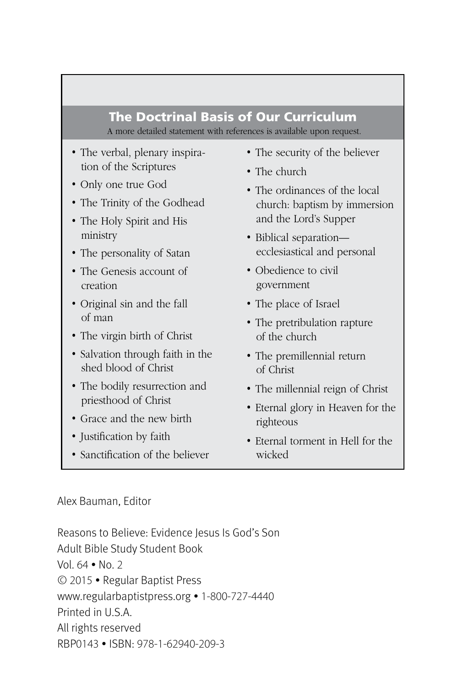#### The Doctrinal Basis of Our Curriculum A more detailed statement with references is available upon request.

- The verbal, plenary inspiration of the Scriptures
- Only one true God
- The Trinity of the Godhead
- The Holy Spirit and His ministry
- The personality of Satan
- The Genesis account of creation
- Original sin and the fall of man
- The virgin birth of Christ
- Salvation through faith in the shed blood of Christ
- The bodily resurrection and priesthood of Christ
- Grace and the new birth
- Justification by faith
- Sanctification of the believer
- The security of the believer
- The church
- The ordinances of the local church: baptism by immersion and the Lord's Supper
- Biblical separation ecclesiastical and personal
- Obedience to civil government
- The place of Israel
- The pretribulation rapture of the church
- The premillennial return of Christ
- The millennial reign of Christ
- Eternal glory in Heaven for the righteous
- Eternal torment in Hell for the wicked

#### Alex Bauman, Editor

Reasons to Believe: Evidence Jesus Is God's Son Adult Bible Study Student Book Vol. 64 • No. 2 © 2015 • Regular Baptist Press www.regularbaptistpress.org • 1-800-727-4440 Printed in U.S.A. All rights reserved RBP0143 • ISBN: 978-1-62940-209-3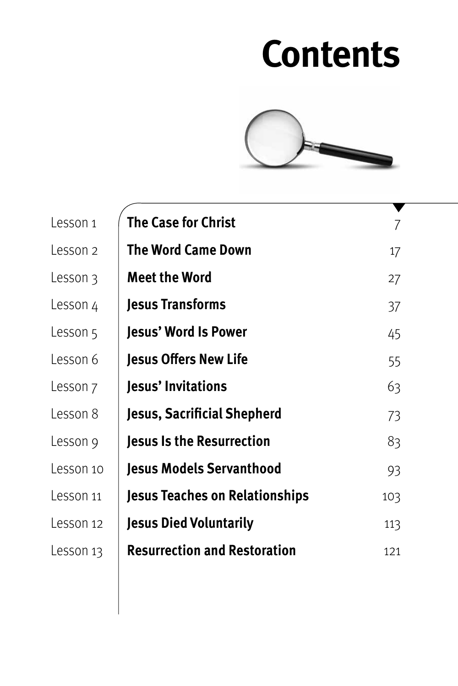# **Contents**



| Lesson 1  | <b>The Case for Christ</b>            |     |
|-----------|---------------------------------------|-----|
| Lesson 2  | <b>The Word Came Down</b>             | 17  |
| Lesson 3  | <b>Meet the Word</b>                  | 27  |
| Lesson 4  | <b>Jesus Transforms</b>               | 37  |
| Lesson 5  | Jesus' Word Is Power                  | 45  |
| Lesson 6  | <b>Jesus Offers New Life</b>          | 55  |
| Lesson ⁊  | Jesus' Invitations                    | 63  |
| Lesson 8  | Jesus, Sacrificial Shepherd           | 73  |
| Lesson 9  | <b>Jesus Is the Resurrection</b>      | 83  |
| Lesson 10 | <b>Jesus Models Servanthood</b>       | 93  |
| Lesson 11 | <b>Jesus Teaches on Relationships</b> | 103 |
| Lesson 12 | <b>Jesus Died Voluntarily</b>         | 113 |
| Lesson 13 | <b>Resurrection and Restoration</b>   | 121 |
|           |                                       |     |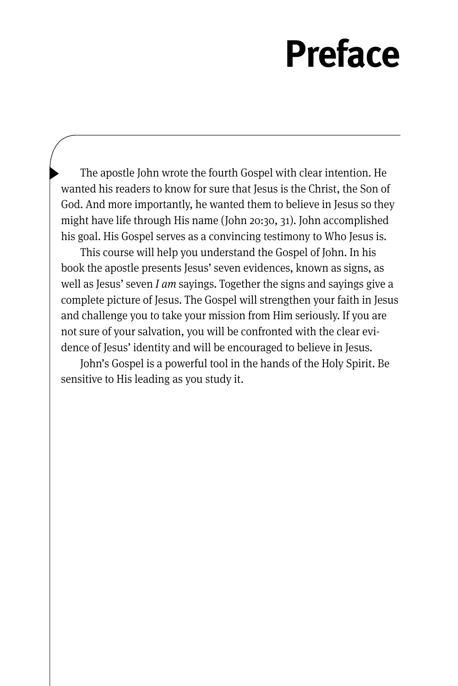# **Preface**

The apostle John wrote the fourth Gospel with clear intention. He wanted his readers to know for sure that Jesus is the Christ, the Son of God. And more importantly, he wanted them to believe in Jesus so they might have life through His name (John 20:30, 31). John accomplished his goal. His Gospel serves as a convincing testimony to Who Jesus is.

This course will help you understand the Gospel of John. In his book the apostle presents Jesus' seven evidences, known as signs, as well as Jesus' seven *I am* sayings. Together the signs and sayings give a complete picture of Jesus. The Gospel will strengthen your faith in Jesus and challenge you to take your mission from Him seriously. If you are not sure of your salvation, you will be confronted with the clear evidence of Jesus' identity and will be encouraged to believe in Jesus.

John's Gospel is a powerful tool in the hands of the Holy Spirit. Be sensitive to His leading as you study it.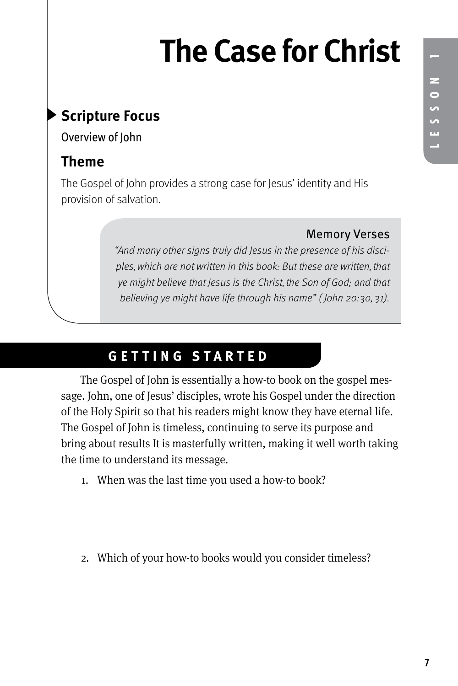# **The Case for Christ**

# **Scripture Focus**

Overview of John

# **Theme**

The Gospel of John provides a strong case for Jesus' identity and His provision of salvation.

### Memory Verses

"And many other signs truly did Jesus in the presence of his disciples, which are not written in this book: But these are written, that ye might believe that Jesus is the Christ, the Son of God; and that believing ye might have life through his name" ( John 20:30, 31).

# **GETTING STARTED**

The Gospel of John is essentially a how-to book on the gospel message. John, one of Jesus' disciples, wrote his Gospel under the direction of the Holy Spirit so that his readers might know they have eternal life. The Gospel of John is timeless, continuing to serve its purpose and bring about results It is masterfully written, making it well worth taking the time to understand its message.

- 1. When was the last time you used a how-to book?
- 2. Which of your how-to books would you consider timeless?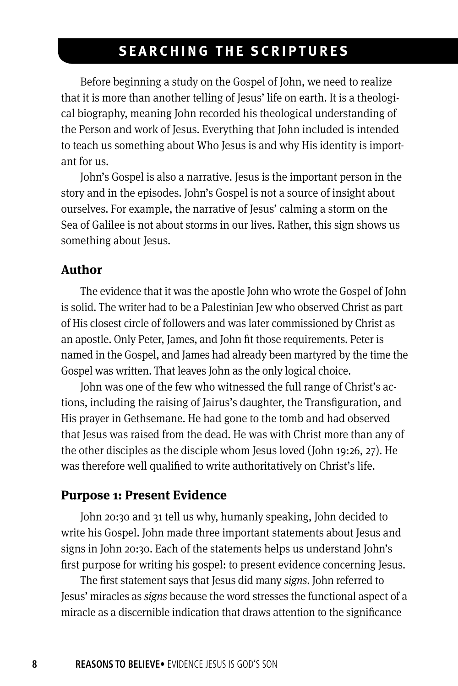## **SEARCHING THE SCRIPTURES**

Before beginning a study on the Gospel of John, we need to realize that it is more than another telling of Jesus' life on earth. It is a theological biography, meaning John recorded his theological understanding of the Person and work of Jesus. Everything that John included is intended to teach us something about Who Jesus is and why His identity is important for us.

John's Gospel is also a narrative. Jesus is the important person in the story and in the episodes. John's Gospel is not a source of insight about ourselves. For example, the narrative of Jesus' calming a storm on the Sea of Galilee is not about storms in our lives. Rather, this sign shows us something about Jesus.

#### **Author**

The evidence that it was the apostle John who wrote the Gospel of John is solid. The writer had to be a Palestinian Jew who observed Christ as part of His closest circle of followers and was later commissioned by Christ as an apostle. Only Peter, James, and John fit those requirements. Peter is named in the Gospel, and James had already been martyred by the time the Gospel was written. That leaves John as the only logical choice.

John was one of the few who witnessed the full range of Christ's actions, including the raising of Jairus's daughter, the Transfiguration, and His prayer in Gethsemane. He had gone to the tomb and had observed that Jesus was raised from the dead. He was with Christ more than any of the other disciples as the disciple whom Jesus loved (John 19:26, 27). He was therefore well qualified to write authoritatively on Christ's life.

#### **Purpose 1: Present Evidence**

John 20:30 and 31 tell us why, humanly speaking, John decided to write his Gospel. John made three important statements about Jesus and signs in John 20:30. Each of the statements helps us understand John's first purpose for writing his gospel: to present evidence concerning Jesus.

The first statement says that Jesus did many *signs*. John referred to Jesus' miracles as *signs* because the word stresses the functional aspect of a miracle as a discernible indication that draws attention to the significance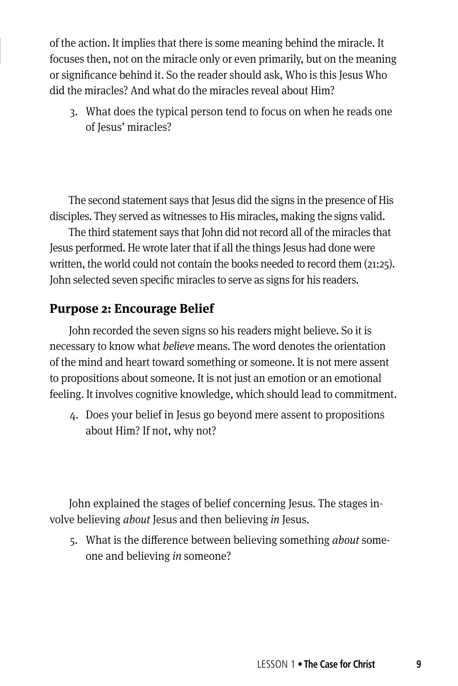of the action. It implies that there is some meaning behind the miracle. It focuses then, not on the miracle only or even primarily, but on the meaning or significance behind it. So the reader should ask, Who is this Jesus Who did the miracles? And what do the miracles reveal about Him?

3. What does the typical person tend to focus on when he reads one of Jesus' miracles?

The second statement says that Jesus did the signs in the presence of His disciples. They served as witnesses to His miracles, making the signs valid.

The third statement says that John did not record all of the miracles that Jesus performed. He wrote later that if all the things Jesus had done were written, the world could not contain the books needed to record them (21:25). John selected seven specific miracles to serve as signs for his readers.

### **Purpose 2: Encourage Belief**

John recorded the seven signs so his readers might believe. So it is necessary to know what *believe* means. The word denotes the orientation of the mind and heart toward something or someone. It is not mere assent to propositions about someone. It is not just an emotion or an emotional feeling. It involves cognitive knowledge, which should lead to commitment.

4. Does your belief in Jesus go beyond mere assent to propositions about Him? If not, why not?

John explained the stages of belief concerning Jesus. The stages involve believing *about* Jesus and then believing *in* Jesus.

5. What is the difference between believing something *about* someone and believing *in* someone?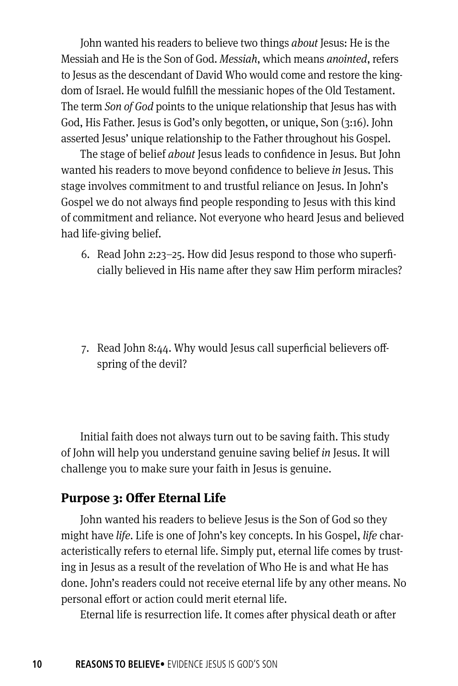John wanted his readers to believe two things *about* Jesus: He is the Messiah and He is the Son of God. *Messiah*, which means *anointed*, refers to Jesus as the descendant of David Who would come and restore the kingdom of Israel. He would fulfill the messianic hopes of the Old Testament. The term *Son of God* points to the unique relationship that Jesus has with God, His Father. Jesus is God's only begotten, or unique, Son (3:16). John asserted Jesus' unique relationship to the Father throughout his Gospel.

The stage of belief *about* Jesus leads to confidence in Jesus. But John wanted his readers to move beyond confidence to believe *in* Jesus. This stage involves commitment to and trustful reliance on Jesus. In John's Gospel we do not always find people responding to Jesus with this kind of commitment and reliance. Not everyone who heard Jesus and believed had life-giving belief.

- 6. Read John 2:23–25. How did Jesus respond to those who superficially believed in His name after they saw Him perform miracles?
- 7. Read John 8:44. Why would Jesus call superficial believers offspring of the devil?

Initial faith does not always turn out to be saving faith. This study of John will help you understand genuine saving belief *in* Jesus. It will challenge you to make sure your faith in Jesus is genuine.

### **Purpose 3: Offer Eternal Life**

John wanted his readers to believe Jesus is the Son of God so they might have *life*. Life is one of John's key concepts. In his Gospel, *life* characteristically refers to eternal life. Simply put, eternal life comes by trusting in Jesus as a result of the revelation of Who He is and what He has done. John's readers could not receive eternal life by any other means. No personal effort or action could merit eternal life.

Eternal life is resurrection life. It comes after physical death or after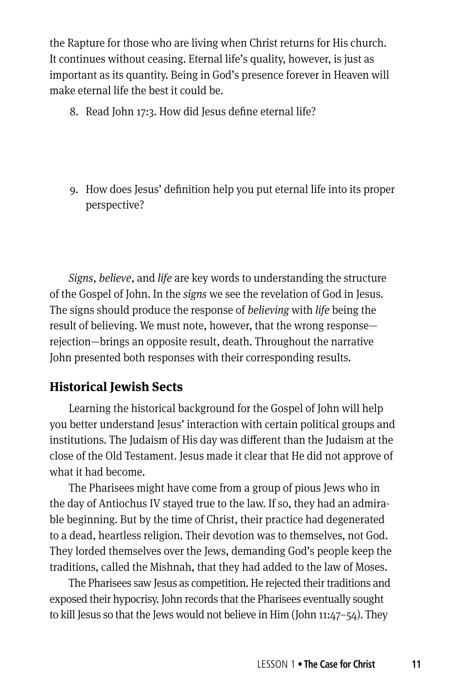the Rapture for those who are living when Christ returns for His church. It continues without ceasing. Eternal life's quality, however, is just as important as its quantity. Being in God's presence forever in Heaven will make eternal life the best it could be.

- 8. Read John 17:3. How did Jesus define eternal life?
- 9. How does Jesus' definition help you put eternal life into its proper perspective?

*Signs*, *believe*, and *life* are key words to understanding the structure of the Gospel of John. In the *signs* we see the revelation of God in Jesus. The signs should produce the response of *believing* with *life* being the result of believing. We must note, however, that the wrong response rejection—brings an opposite result, death. Throughout the narrative John presented both responses with their corresponding results.

## **Historical Jewish Sects**

Learning the historical background for the Gospel of John will help you better understand Jesus' interaction with certain political groups and institutions. The Judaism of His day was different than the Judaism at the close of the Old Testament. Jesus made it clear that He did not approve of what it had become.

The Pharisees might have come from a group of pious Jews who in the day of Antiochus IV stayed true to the law. If so, they had an admirable beginning. But by the time of Christ, their practice had degenerated to a dead, heartless religion. Their devotion was to themselves, not God. They lorded themselves over the Jews, demanding God's people keep the traditions, called the Mishnah, that they had added to the law of Moses.

The Pharisees saw Jesus as competition. He rejected their traditions and exposed their hypocrisy. John records that the Pharisees eventually sought to kill Jesus so that the Jews would not believe in Him (John 11:47–54). They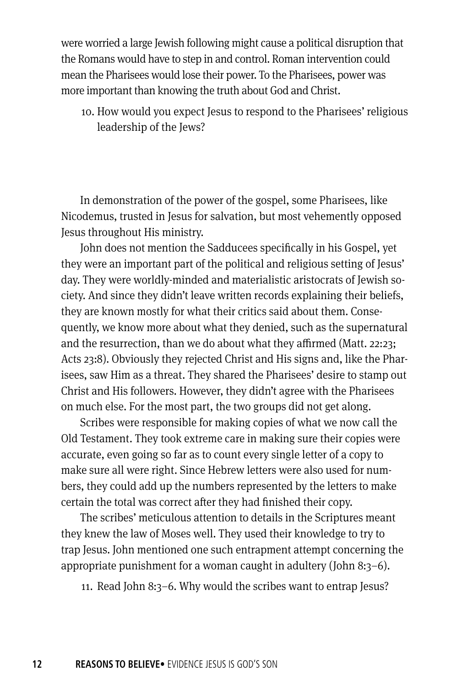were worried a large Jewish following might cause a political disruption that the Romans would have to step in and control. Roman intervention could mean the Pharisees would lose their power. To the Pharisees, power was more important than knowing the truth about God and Christ.

10. How would you expect Jesus to respond to the Pharisees' religious leadership of the Jews?

In demonstration of the power of the gospel, some Pharisees, like Nicodemus, trusted in Jesus for salvation, but most vehemently opposed Jesus throughout His ministry.

John does not mention the Sadducees specifically in his Gospel, yet they were an important part of the political and religious setting of Jesus' day. They were worldly-minded and materialistic aristocrats of Jewish society. And since they didn't leave written records explaining their beliefs, they are known mostly for what their critics said about them. Consequently, we know more about what they denied, such as the supernatural and the resurrection, than we do about what they affirmed (Matt. 22:23; Acts 23:8). Obviously they rejected Christ and His signs and, like the Pharisees, saw Him as a threat. They shared the Pharisees' desire to stamp out Christ and His followers. However, they didn't agree with the Pharisees on much else. For the most part, the two groups did not get along.

Scribes were responsible for making copies of what we now call the Old Testament. They took extreme care in making sure their copies were accurate, even going so far as to count every single letter of a copy to make sure all were right. Since Hebrew letters were also used for numbers, they could add up the numbers represented by the letters to make certain the total was correct after they had finished their copy.

The scribes' meticulous attention to details in the Scriptures meant they knew the law of Moses well. They used their knowledge to try to trap Jesus. John mentioned one such entrapment attempt concerning the appropriate punishment for a woman caught in adultery (John 8:3–6).

11. Read John 8:3–6. Why would the scribes want to entrap Jesus?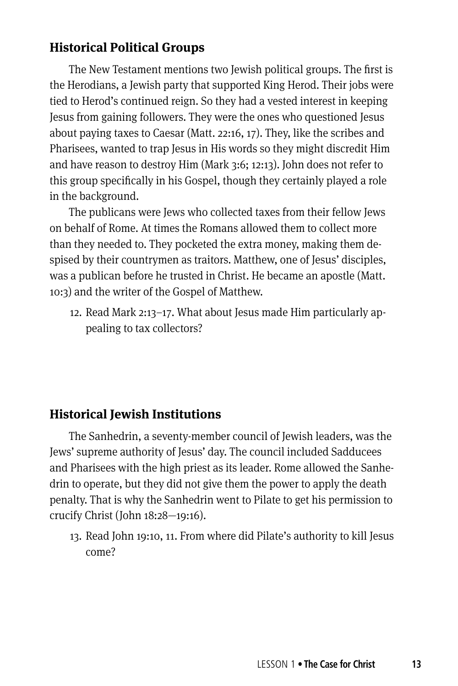## **Historical Political Groups**

The New Testament mentions two Jewish political groups. The first is the Herodians, a Jewish party that supported King Herod. Their jobs were tied to Herod's continued reign. So they had a vested interest in keeping Jesus from gaining followers. They were the ones who questioned Jesus about paying taxes to Caesar (Matt. 22:16, 17). They, like the scribes and Pharisees, wanted to trap Jesus in His words so they might discredit Him and have reason to destroy Him (Mark 3:6; 12:13). John does not refer to this group specifically in his Gospel, though they certainly played a role in the background.

The publicans were Jews who collected taxes from their fellow Jews on behalf of Rome. At times the Romans allowed them to collect more than they needed to. They pocketed the extra money, making them despised by their countrymen as traitors. Matthew, one of Jesus' disciples, was a publican before he trusted in Christ. He became an apostle (Matt. 10:3) and the writer of the Gospel of Matthew.

12. Read Mark 2:13–17. What about Jesus made Him particularly appealing to tax collectors?

## **Historical Jewish Institutions**

The Sanhedrin, a seventy-member council of Jewish leaders, was the Jews' supreme authority of Jesus' day. The council included Sadducees and Pharisees with the high priest as its leader. Rome allowed the Sanhedrin to operate, but they did not give them the power to apply the death penalty. That is why the Sanhedrin went to Pilate to get his permission to crucify Christ (John 18:28—19:16).

13. Read John 19:10, 11. From where did Pilate's authority to kill Jesus come?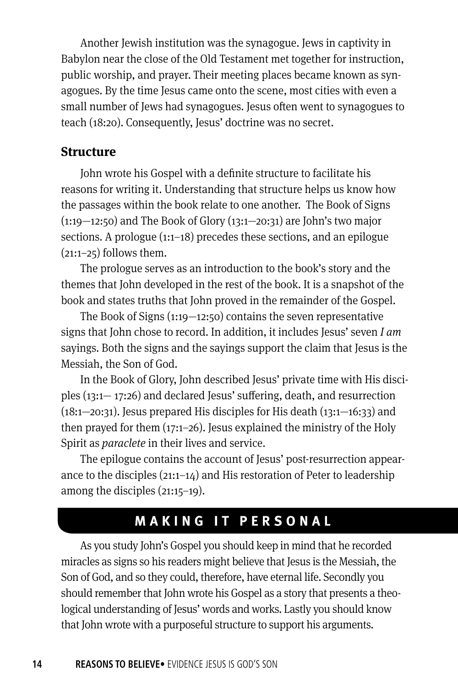Another Jewish institution was the synagogue. Jews in captivity in Babylon near the close of the Old Testament met together for instruction, public worship, and prayer. Their meeting places became known as synagogues. By the time Jesus came onto the scene, most cities with even a small number of Jews had synagogues. Jesus often went to synagogues to teach (18:20). Consequently, Jesus' doctrine was no secret.

#### **Structure**

John wrote his Gospel with a definite structure to facilitate his reasons for writing it. Understanding that structure helps us know how the passages within the book relate to one another. The Book of Signs  $(1:19-12:50)$  and The Book of Glory  $(13:1-20:31)$  are John's two major sections. A prologue (1:1-18) precedes these sections, and an epilogue  $(21:1-25)$  follows them.

The prologue serves as an introduction to the book's story and the themes that John developed in the rest of the book. It is a snapshot of the book and states truths that John proved in the remainder of the Gospel.

The Book of Signs  $(1:19-12:50)$  contains the seven representative signs that John chose to record. In addition, it includes Jesus' seven *I am* sayings. Both the signs and the sayings support the claim that Jesus is the Messiah, the Son of God.

In the Book of Glory, John described Jesus' private time with His disciples (13:1— 17:26) and declared Jesus' suffering, death, and resurrection  $(18:1-20:31)$ . Jesus prepared His disciples for His death  $(13:1-16:33)$  and then prayed for them (17:1–26). Jesus explained the ministry of the Holy Spirit as *paraclete* in their lives and service.

The epilogue contains the account of Jesus' post-resurrection appearance to the disciples (21:1–14) and His restoration of Peter to leadership among the disciples (21:15–19).

## **MAKING IT PERSONAL**

As you study John's Gospel you should keep in mind that he recorded miracles as signs so his readers might believe that Jesus is the Messiah, the Son of God, and so they could, therefore, have eternal life. Secondly you should remember that John wrote his Gospel as a story that presents a theological understanding of Jesus' words and works. Lastly you should know that John wrote with a purposeful structure to support his arguments.